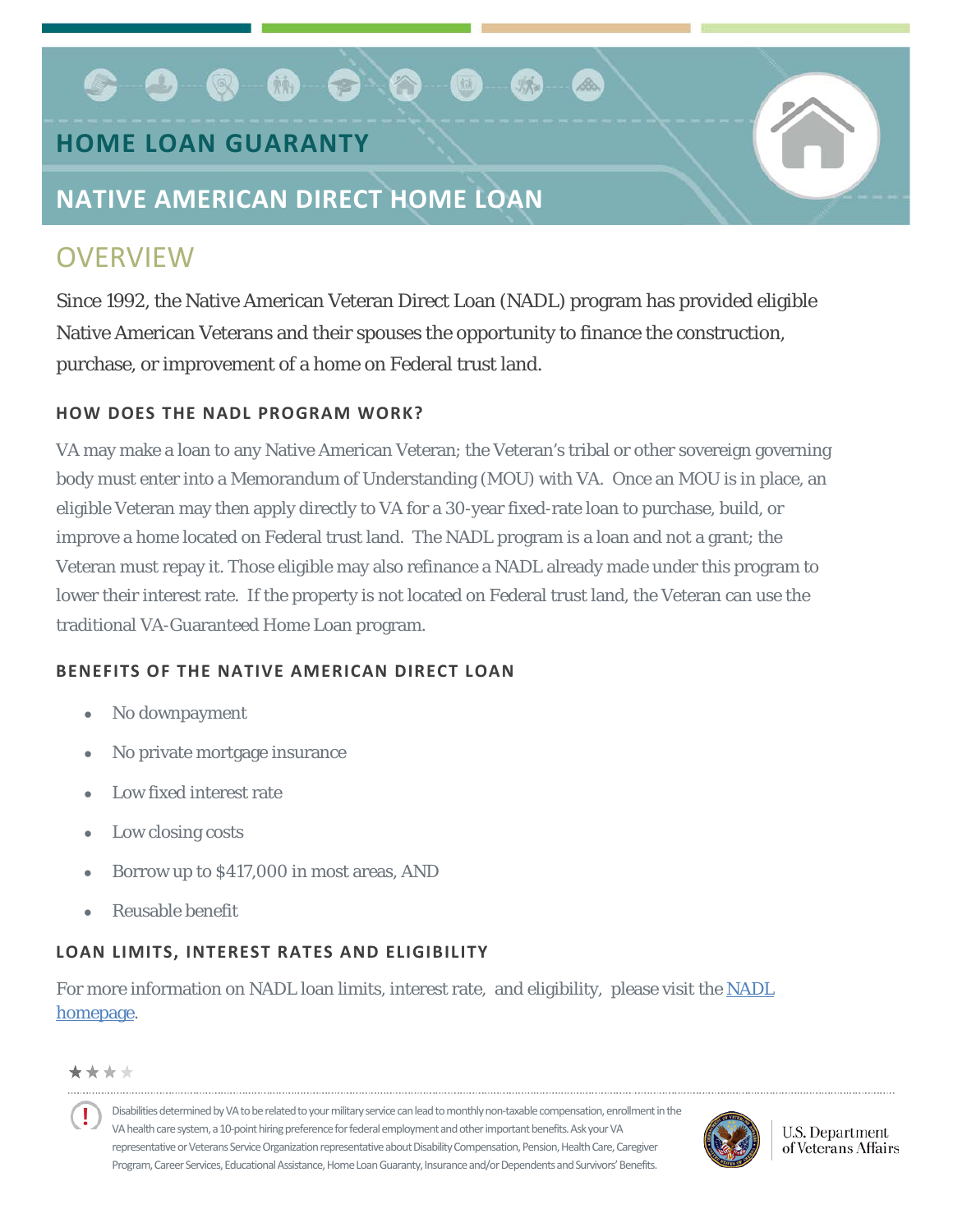### $\bullet$  .  $\bullet$  .  $\bullet$  .  $\bullet$ 【应

## **HOME LOAN GUARANTY**

## **NATIVE AMERICAN DIRECT HOME LOAN**

# **OVERVIEW**

Since 1992, the Native American Veteran Direct Loan (NADL) program has provided eligible Native American Veterans and their spouses the opportunity to finance the construction, purchase, or improvement of a home on Federal trust land.

#### **HOW DOES THE NADL PROGRAM WORK?**

VA may make a loan to any Native American Veteran; the Veteran's tribal or other sovereign governing body must enter into a Memorandum of Understanding (MOU) with VA. Once an MOU is in place, an eligible Veteran may then apply directly to VA for a 30-year fixed-rate loan to purchase, build, or improve a home located on Federal trust land. The NADL program is a loan and not a grant; the Veteran must repay it. Those eligible may also refinance a NADL already made under this program to lower their interest rate. If the property is not located on Federal trust land, the Veteran can use the traditional VA-Guaranteed Home Loan program.

#### **BENEFITS OF THE NATIVE AMERICAN DIRECT LOAN**

- No downpayment
- No private mortgage insurance
- Low fixed interest rate
- Low closing costs
- Borrow up to \$417,000 in most areas, AND
- Reusable benefit

### **LOAN LIMITS, INTEREST RATES AND ELIGIBILITY**

For more information on NADL loan limits, interest rate, and eligibility, please visit the [NADL](http://www.benefits.va.gov/homeloans/nadl.asp)  [homepage.](http://www.benefits.va.gov/homeloans/nadl.asp)

\*\*\*\*

Disabilities determined by VA to be related to your military service can lead to monthly non-taxable compensation, enrollment in the VA health care system, a 10-point hiring preference for federal employment and other important benefits. Ask your VA representative or Veterans Service Organization representative about Disability Compensation, Pension, Health Care, Caregiver Program, Career Services, Educational Assistance, Home Loan Guaranty, Insurance and/or Dependents and Survivors' Benefits.



**U.S. Department** of Veterans Affairs